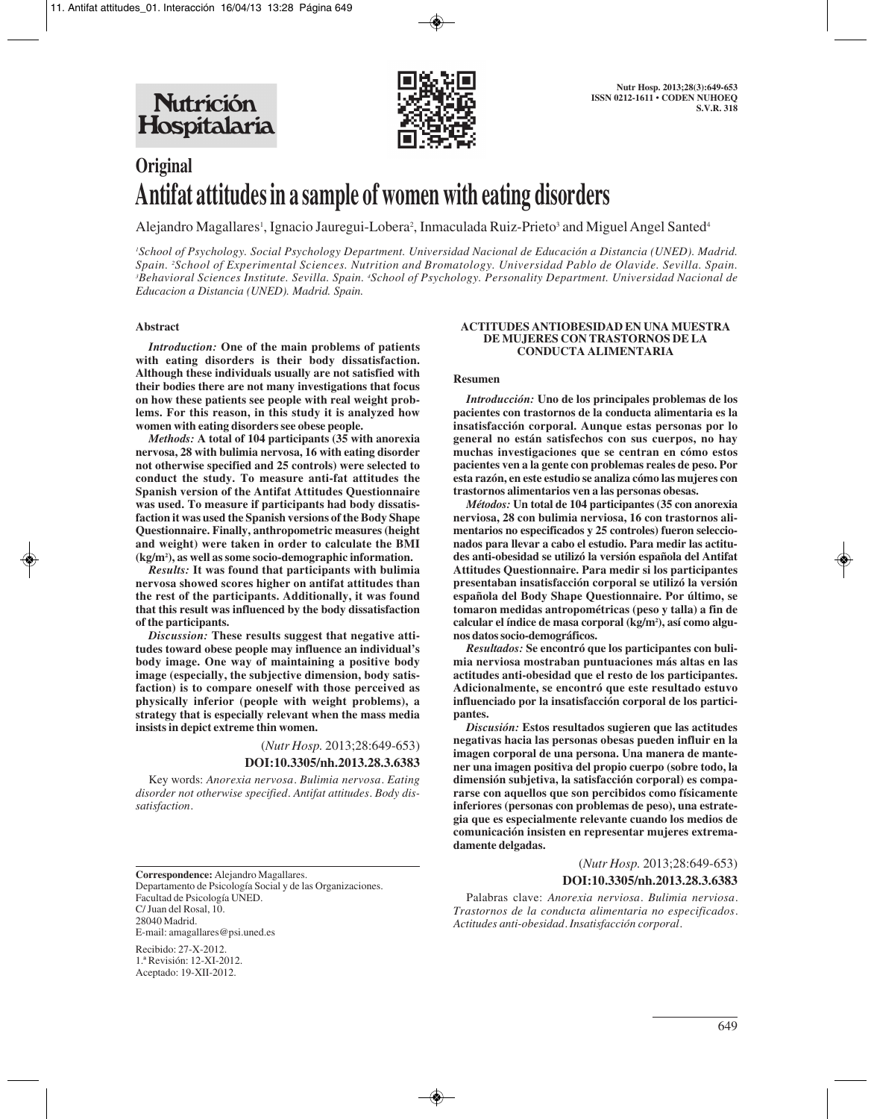

# **Original Antifat attitudes in a sample of women with eating disorders**

Alejandro Magallares', Ignacio Jauregui-Lobera<sup>2</sup>, Inmaculada Ruiz-Prieto<sup>3</sup> and Miguel Angel Santed<sup>4</sup>

*1 School of Psychology. Social Psychology Department. Universidad Nacional de Educación a Distancia (UNED). Madrid. Spain. 2 School of Experimental Sciences. Nutrition and Bromatology. Universidad Pablo de Olavide. Sevilla. Spain. 3 Behavioral Sciences Institute. Sevilla. Spain. 4 School of Psychology. Personality Department. Universidad Nacional de Educacion a Distancia (UNED). Madrid. Spain.*

## **Abstract**

*Introduction:* **One of the main problems of patients with eating disorders is their body dissatisfaction. Although these individuals usually are not satisfied with their bodies there are not many investigations that focus on how these patients see people with real weight problems. For this reason, in this study it is analyzed how women with eating disorders see obese people.** 

*Methods:* **A total of 104 participants (35 with anorexia nervosa, 28 with bulimia nervosa, 16 with eating disorder not otherwise specified and 25 controls) were selected to conduct the study. To measure anti-fat attitudes the Spanish version of the Antifat Attitudes Questionnaire was used. To measure if participants had body dissatisfaction it was used the Spanish versions of the Body Shape Questionnaire. Finally, anthropometric measures (height and weight) were taken in order to calculate the BMI (kg/m2 ), as well as some socio-demographic information.**

*Results:* **It was found that participants with bulimia nervosa showed scores higher on antifat attitudes than the rest of the participants. Additionally, it was found that this result was influenced by the body dissatisfaction of the participants.** 

*Discussion:* **These results suggest that negative attitudes toward obese people may influence an individual's body image. One way of maintaining a positive body image (especially, the subjective dimension, body satisfaction) is to compare oneself with those perceived as physically inferior (people with weight problems), a strategy that is especially relevant when the mass media insists in depict extreme thin women.**

> (*Nutr Hosp.* 2013;28:649-653) **DOI:10.3305/nh.2013.28.3.6383**

Key words: *Anorexia nervosa. Bulimia nervosa. Eating disorder not otherwise specified. Antifat attitudes. Body dissatisfaction.*

**Correspondence:** Alejandro Magallares. Departamento de Psicología Social y de las Organizaciones. Facultad de Psicología UNED. C/ Juan del Rosal, 10. 28040 Madrid. E-mail: amagallares@psi.uned.es

Recibido: 27-X-2012. 1.ª Revisión: 12-XI-2012. Aceptado: 19-XII-2012.

#### **ACTITUDES ANTIOBESIDAD EN UNA MUESTRA DE MUJERES CON TRASTORNOS DE LA CONDUCTA ALIMENTARIA**

#### **Resumen**

*Introducción:* **Uno de los principales problemas de los pacientes con trastornos de la conducta alimentaria es la insatisfacción corporal. Aunque estas personas por lo general no están satisfechos con sus cuerpos, no hay muchas investigaciones que se centran en cómo estos pacientes ven a la gente con problemas reales de peso. Por esta razón, en este estudio se analiza cómo las mujeres con trastornos alimentarios ven a las personas obesas.**

*Métodos:* **Un total de 104 participantes (35 con anorexia nerviosa, 28 con bulimia nerviosa, 16 con trastornos alimentarios no especificados y 25 controles) fueron seleccionados para llevar a cabo el estudio. Para medir las actitudes anti-obesidad se utilizó la versión española del Antifat Attitudes Questionnaire. Para medir si los participantes presentaban insatisfacción corporal se utilizó la versión española del Body Shape Questionnaire. Por último, se tomaron medidas antropométricas (peso y talla) a fin de calcular el índice de masa corporal (kg/m2 ), así como algunos datos socio-demográficos.**

*Resultados:* **Se encontró que los participantes con bulimia nerviosa mostraban puntuaciones más altas en las actitudes anti-obesidad que el resto de los participantes. Adicionalmente, se encontró que este resultado estuvo influenciado por la insatisfacción corporal de los participantes.**

*Discusión:* **Estos resultados sugieren que las actitudes negativas hacia las personas obesas pueden influir en la imagen corporal de una persona. Una manera de mantener una imagen positiva del propio cuerpo (sobre todo, la dimensión subjetiva, la satisfacción corporal) es compararse con aquellos que son percibidos como físicamente inferiores (personas con problemas de peso), una estrategia que es especialmente relevante cuando los medios de comunicación insisten en representar mujeres extremadamente delgadas.**

(*Nutr Hosp.* 2013;28:649-653)

# **DOI:10.3305/nh.2013.28.3.6383**

Palabras clave: *Anorexia nerviosa. Bulimia nerviosa. Trastornos de la conducta alimentaria no especificados. Actitudes anti-obesidad. Insatisfacción corporal.*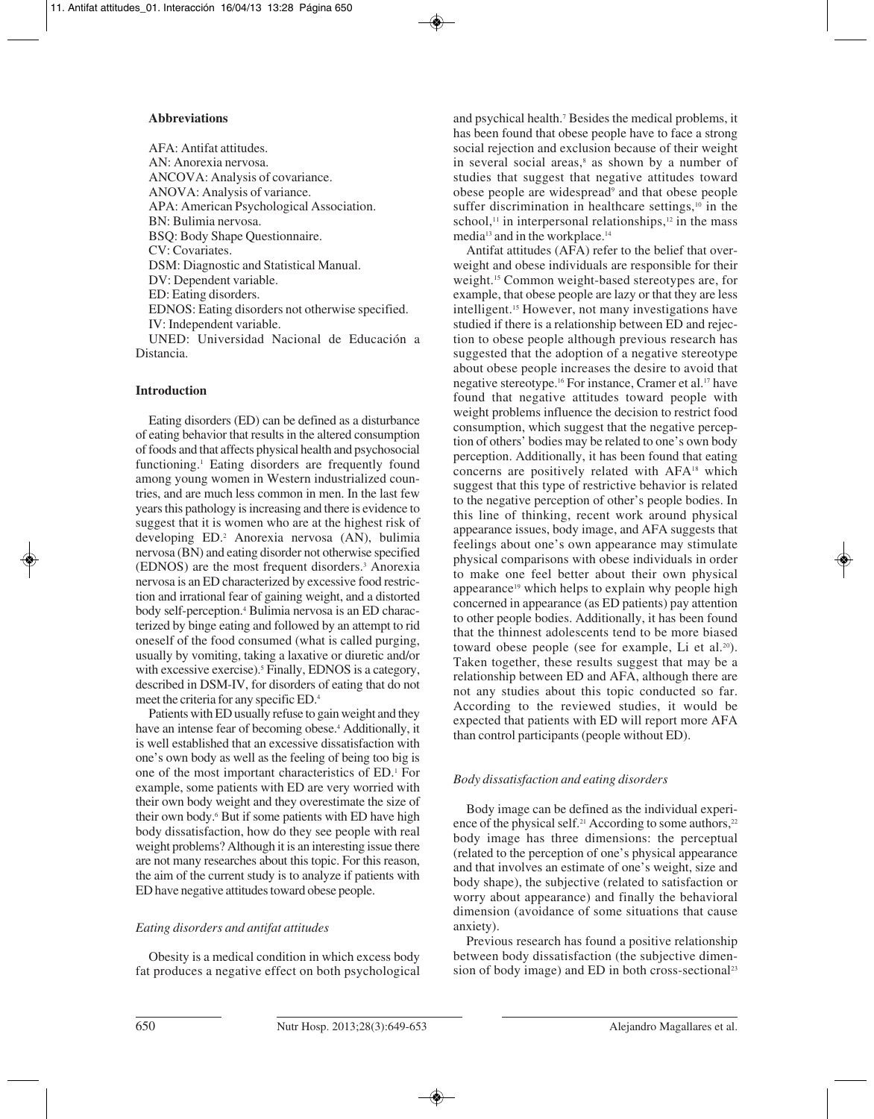# **Abbreviations**

AFA: Antifat attitudes. AN: Anorexia nervosa. ANCOVA: Analysis of covariance. ANOVA: Analysis of variance. APA: American Psychological Association. BN: Bulimia nervosa. BSQ: Body Shape Questionnaire. CV: Covariates. DSM: Diagnostic and Statistical Manual. DV: Dependent variable. ED: Eating disorders. EDNOS: Eating disorders not otherwise specified. IV: Independent variable. UNED: Universidad Nacional de Educación a Distancia.

# **Introduction**

Eating disorders (ED) can be defined as a disturbance of eating behavior that results in the altered consumption of foods and that affects physical health and psychosocial functioning.1 Eating disorders are frequently found among young women in Western industrialized countries, and are much less common in men. In the last few years this pathology is increasing and there is evidence to suggest that it is women who are at the highest risk of developing ED.2 Anorexia nervosa (AN), bulimia nervosa (BN) and eating disorder not otherwise specified (EDNOS) are the most frequent disorders.3 Anorexia nervosa is an ED characterized by excessive food restriction and irrational fear of gaining weight, and a distorted body self-perception.4 Bulimia nervosa is an ED characterized by binge eating and followed by an attempt to rid oneself of the food consumed (what is called purging, usually by vomiting, taking a laxative or diuretic and/or with excessive exercise).<sup>5</sup> Finally, EDNOS is a category, described in DSM-IV, for disorders of eating that do not meet the criteria for any specific ED.4

Patients with ED usually refuse to gain weight and they have an intense fear of becoming obese.<sup>4</sup> Additionally, it is well established that an excessive dissatisfaction with one's own body as well as the feeling of being too big is one of the most important characteristics of ED.1 For example, some patients with ED are very worried with their own body weight and they overestimate the size of their own body.<sup>6</sup> But if some patients with ED have high body dissatisfaction, how do they see people with real weight problems? Although it is an interesting issue there are not many researches about this topic. For this reason, the aim of the current study is to analyze if patients with ED have negative attitudes toward obese people.

# *Eating disorders and antifat attitudes*

Obesity is a medical condition in which excess body fat produces a negative effect on both psychological

and psychical health.7 Besides the medical problems, it has been found that obese people have to face a strong social rejection and exclusion because of their weight in several social areas,<sup>8</sup> as shown by a number of studies that suggest that negative attitudes toward obese people are widespread9 and that obese people suffer discrimination in healthcare settings,<sup>10</sup> in the school, $\frac{11}{11}$  in interpersonal relationships, $\frac{12}{11}$  in the mass media13 and in the workplace.14

Antifat attitudes (AFA) refer to the belief that overweight and obese individuals are responsible for their weight.15 Common weight-based stereotypes are, for example, that obese people are lazy or that they are less intelligent.15 However, not many investigations have studied if there is a relationship between ED and rejection to obese people although previous research has suggested that the adoption of a negative stereotype about obese people increases the desire to avoid that negative stereotype.16 For instance, Cramer et al.17 have found that negative attitudes toward people with weight problems influence the decision to restrict food consumption, which suggest that the negative perception of others' bodies may be related to one's own body perception. Additionally, it has been found that eating concerns are positively related with AFA18 which suggest that this type of restrictive behavior is related to the negative perception of other's people bodies. In this line of thinking, recent work around physical appearance issues, body image, and AFA suggests that feelings about one's own appearance may stimulate physical comparisons with obese individuals in order to make one feel better about their own physical appearance<sup>19</sup> which helps to explain why people high concerned in appearance (as ED patients) pay attention to other people bodies. Additionally, it has been found that the thinnest adolescents tend to be more biased toward obese people (see for example, Li et al.<sup>20</sup>). Taken together, these results suggest that may be a relationship between ED and AFA, although there are not any studies about this topic conducted so far. According to the reviewed studies, it would be expected that patients with ED will report more AFA than control participants (people without ED).

# *Body dissatisfaction and eating disorders*

Body image can be defined as the individual experience of the physical self.<sup>21</sup> According to some authors, $2<sup>2</sup>$ body image has three dimensions: the perceptual (related to the perception of one's physical appearance and that involves an estimate of one's weight, size and body shape), the subjective (related to satisfaction or worry about appearance) and finally the behavioral dimension (avoidance of some situations that cause anxiety).

Previous research has found a positive relationship between body dissatisfaction (the subjective dimension of body image) and ED in both cross-sectional<sup>23</sup>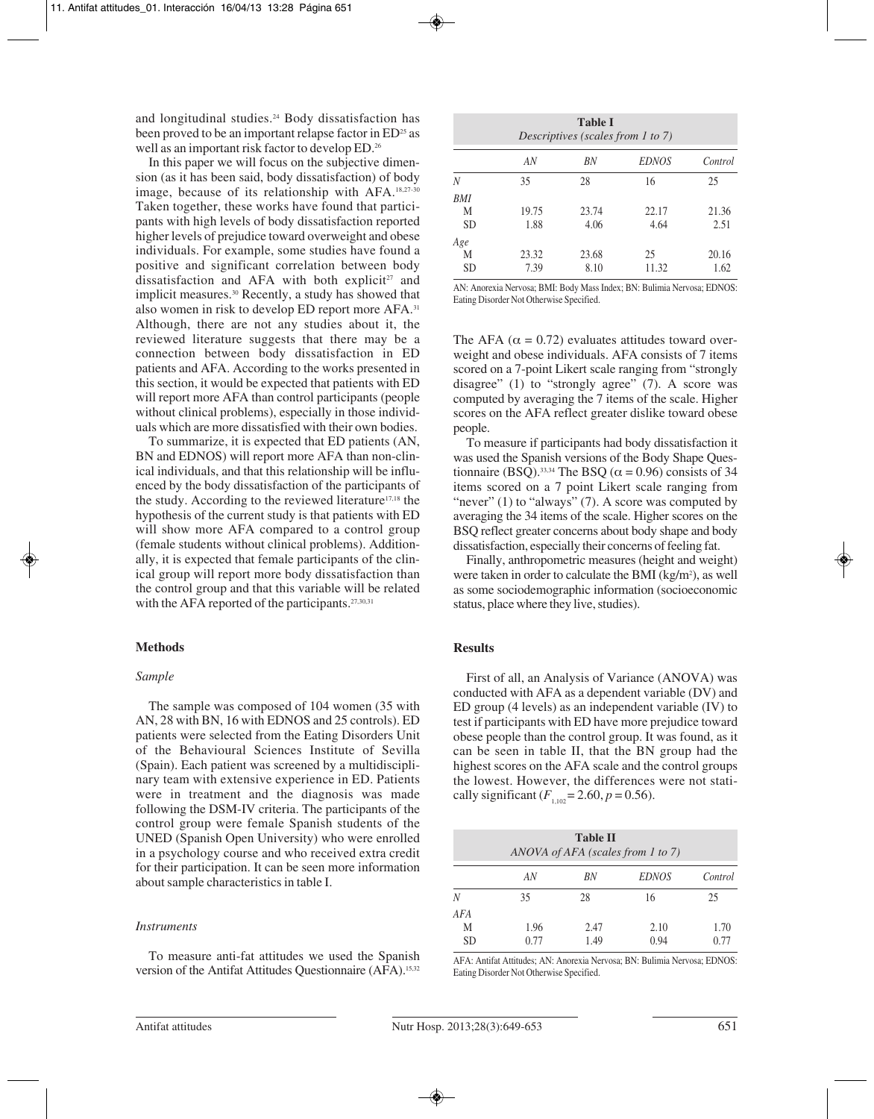and longitudinal studies.<sup>24</sup> Body dissatisfaction has been proved to be an important relapse factor in ED<sup>25</sup> as well as an important risk factor to develop ED.26

In this paper we will focus on the subjective dimension (as it has been said, body dissatisfaction) of body image, because of its relationship with AFA.18,27-30 Taken together, these works have found that participants with high levels of body dissatisfaction reported higher levels of prejudice toward overweight and obese individuals. For example, some studies have found a positive and significant correlation between body dissatisfaction and AFA with both explicit<sup>27</sup> and implicit measures.30 Recently, a study has showed that also women in risk to develop ED report more AFA.31 Although, there are not any studies about it, the reviewed literature suggests that there may be a connection between body dissatisfaction in ED patients and AFA. According to the works presented in this section, it would be expected that patients with ED will report more AFA than control participants (people without clinical problems), especially in those individuals which are more dissatisfied with their own bodies.

To summarize, it is expected that ED patients (AN, BN and EDNOS) will report more AFA than non-clinical individuals, and that this relationship will be influenced by the body dissatisfaction of the participants of the study. According to the reviewed literature17,18 the hypothesis of the current study is that patients with ED will show more AFA compared to a control group (female students without clinical problems). Additionally, it is expected that female participants of the clinical group will report more body dissatisfaction than the control group and that this variable will be related with the AFA reported of the participants.<sup>27,30,31</sup>

# **Methods**

### *Sample*

The sample was composed of 104 women (35 with AN, 28 with BN, 16 with EDNOS and 25 controls). ED patients were selected from the Eating Disorders Unit of the Behavioural Sciences Institute of Sevilla (Spain). Each patient was screened by a multidisciplinary team with extensive experience in ED. Patients were in treatment and the diagnosis was made following the DSM-IV criteria. The participants of the control group were female Spanish students of the UNED (Spanish Open University) who were enrolled in a psychology course and who received extra credit for their participation. It can be seen more information about sample characteristics in table I.

### *Instruments*

To measure anti-fat attitudes we used the Spanish version of the Antifat Attitudes Questionnaire (AFA).15,32

| <b>Table I</b><br>Descriptives (scales from 1 to 7) |       |       |              |         |
|-----------------------------------------------------|-------|-------|--------------|---------|
|                                                     | AN    | BN    | <b>EDNOS</b> | Control |
| Ν                                                   | 35    | 28    | 16           | 25      |
| BMI                                                 |       |       |              |         |
| М                                                   | 19.75 | 23.74 | 22.17        | 21.36   |
| <b>SD</b>                                           | 1.88  | 4.06  | 4.64         | 2.51    |
| Age                                                 |       |       |              |         |
| М                                                   | 23.32 | 23.68 | 25           | 20.16   |
| <b>SD</b>                                           | 7.39  | 8.10  | 11.32        | 1.62    |

AN: Anorexia Nervosa; BMI: Body Mass Index; BN: Bulimia Nervosa; EDNOS: Eating Disorder Not Otherwise Specified.

The AFA ( $\alpha$  = 0.72) evaluates attitudes toward overweight and obese individuals. AFA consists of 7 items scored on a 7-point Likert scale ranging from "strongly disagree" (1) to "strongly agree" (7). A score was computed by averaging the 7 items of the scale. Higher scores on the AFA reflect greater dislike toward obese people.

To measure if participants had body dissatisfaction it was used the Spanish versions of the Body Shape Questionnaire (BSO).<sup>33,34</sup> The BSO ( $\alpha$  = 0.96) consists of 34 items scored on a 7 point Likert scale ranging from "never"  $(1)$  to "always"  $(7)$ . A score was computed by averaging the 34 items of the scale. Higher scores on the BSQ reflect greater concerns about body shape and body dissatisfaction, especially their concerns of feeling fat.

Finally, anthropometric measures (height and weight) were taken in order to calculate the BMI  $(kg/m<sup>2</sup>)$ , as well as some sociodemographic information (socioeconomic status, place where they live, studies).

## **Results**

First of all, an Analysis of Variance (ANOVA) was conducted with AFA as a dependent variable (DV) and ED group (4 levels) as an independent variable (IV) to test if participants with ED have more prejudice toward obese people than the control group. It was found, as it can be seen in table II, that the BN group had the highest scores on the AFA scale and the control groups the lowest. However, the differences were not statically significant  $(F_{1,102} = 2.60, p = 0.56)$ .

| <b>Table II</b><br>ANOVA of AFA (scales from 1 to 7) |      |      |              |         |  |
|------------------------------------------------------|------|------|--------------|---------|--|
|                                                      | AN   | BN   | <b>EDNOS</b> | Control |  |
| N                                                    | 35   | 28   | 16           | 25      |  |
| AFA                                                  |      |      |              |         |  |
| М                                                    | 1.96 | 2.47 | 2.10         | 1.70    |  |
| <b>SD</b>                                            | 0.77 | 1.49 | 0.94         | 0.77    |  |

AFA: Antifat Attitudes; AN: Anorexia Nervosa; BN: Bulimia Nervosa; EDNOS: Eating Disorder Not Otherwise Specified.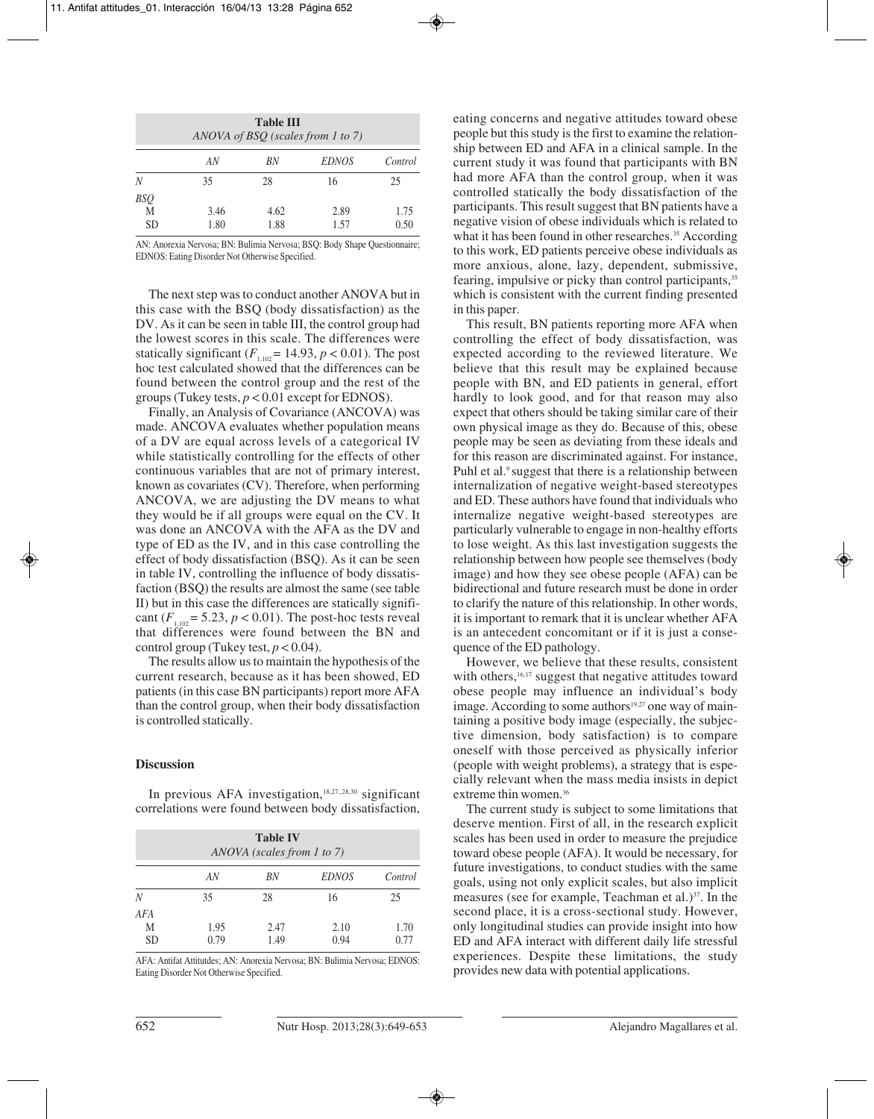| <b>Table III</b><br>ANOVA of BSQ (scales from 1 to 7) |              |              |              |              |
|-------------------------------------------------------|--------------|--------------|--------------|--------------|
|                                                       | AN           | BN           | <i>EDNOS</i> | Control      |
| N                                                     | 35           | 28           | 16           | 25           |
| BSQ<br>M<br><b>SD</b>                                 | 3.46<br>1.80 | 4.62<br>1.88 | 2.89<br>1.57 | 1.75<br>0.50 |

AN: Anorexia Nervosa; BN: Bulimia Nervosa; BSQ: Body Shape Questionnaire; EDNOS: Eating Disorder Not Otherwise Specified.

The next step was to conduct another ANOVA but in this case with the BSQ (body dissatisfaction) as the DV. As it can be seen in table III, the control group had the lowest scores in this scale. The differences were statically significant  $(F_{1,102} = 14.93, p < 0.01)$ . The post hoc test calculated showed that the differences can be found between the control group and the rest of the groups (Tukey tests, *p* < 0.01 except for EDNOS).

Finally, an Analysis of Covariance (ANCOVA) was made. ANCOVA evaluates whether population means of a DV are equal across levels of a categorical IV while statistically controlling for the effects of other continuous variables that are not of primary interest, known as covariates (CV). Therefore, when performing ANCOVA, we are adjusting the DV means to what they would be if all groups were equal on the CV. It was done an ANCOVA with the AFA as the DV and type of ED as the IV, and in this case controlling the effect of body dissatisfaction (BSQ). As it can be seen in table IV, controlling the influence of body dissatisfaction (BSQ) the results are almost the same (see table II) but in this case the differences are statically significant  $(F_{1,102} = 5.23, p < 0.01)$ . The post-hoc tests reveal that differences were found between the BN and control group (Tukey test,  $p < 0.04$ ).

The results allow us to maintain the hypothesis of the current research, because as it has been showed, ED patients (in this case BN participants) report more AFA than the control group, when their body dissatisfaction is controlled statically.

# **Discussion**

In previous AFA investigation,<sup>18,27,,28,30</sup> significant correlations were found between body dissatisfaction,

| <b>Table IV</b><br>ANOVA (scales from 1 to 7) |              |              |              |              |  |
|-----------------------------------------------|--------------|--------------|--------------|--------------|--|
|                                               | AN           | BN           | <b>EDNOS</b> | Control      |  |
| N                                             | 35           | 28           | 16           | 25           |  |
| AFA<br>Μ<br><b>SD</b>                         | 1.95<br>0.79 | 2.47<br>1.49 | 2.10<br>0.94 | 1.70<br>0.77 |  |

AFA: Antifat Attitutdes; AN: Anorexia Nervosa; BN: Bulimia Nervosa; EDNOS: Eating Disorder Not Otherwise Specified.

eating concerns and negative attitudes toward obese people but this study is the first to examine the relationship between ED and AFA in a clinical sample. In the current study it was found that participants with BN had more AFA than the control group, when it was controlled statically the body dissatisfaction of the participants. This result suggest that BN patients have a negative vision of obese individuals which is related to what it has been found in other researches.<sup>35</sup> According to this work, ED patients perceive obese individuals as more anxious, alone, lazy, dependent, submissive, fearing, impulsive or picky than control participants,<sup>35</sup> which is consistent with the current finding presented in this paper.

This result, BN patients reporting more AFA when controlling the effect of body dissatisfaction, was expected according to the reviewed literature. We believe that this result may be explained because people with BN, and ED patients in general, effort hardly to look good, and for that reason may also expect that others should be taking similar care of their own physical image as they do. Because of this, obese people may be seen as deviating from these ideals and for this reason are discriminated against. For instance, Puhl et al.<sup>9</sup> suggest that there is a relationship between internalization of negative weight-based stereotypes and ED. These authors have found that individuals who internalize negative weight-based stereotypes are particularly vulnerable to engage in non-healthy efforts to lose weight. As this last investigation suggests the relationship between how people see themselves (body image) and how they see obese people (AFA) can be bidirectional and future research must be done in order to clarify the nature of this relationship. In other words, it is important to remark that it is unclear whether AFA is an antecedent concomitant or if it is just a consequence of the ED pathology.

However, we believe that these results, consistent with others,<sup>16,17</sup> suggest that negative attitudes toward obese people may influence an individual's body image. According to some authors<sup>19,27</sup> one way of maintaining a positive body image (especially, the subjective dimension, body satisfaction) is to compare oneself with those perceived as physically inferior (people with weight problems), a strategy that is especially relevant when the mass media insists in depict extreme thin women.<sup>36</sup>

The current study is subject to some limitations that deserve mention. First of all, in the research explicit scales has been used in order to measure the prejudice toward obese people (AFA). It would be necessary, for future investigations, to conduct studies with the same goals, using not only explicit scales, but also implicit measures (see for example, Teachman et al.)<sup>37</sup>. In the second place, it is a cross-sectional study. However, only longitudinal studies can provide insight into how ED and AFA interact with different daily life stressful experiences. Despite these limitations, the study provides new data with potential applications.